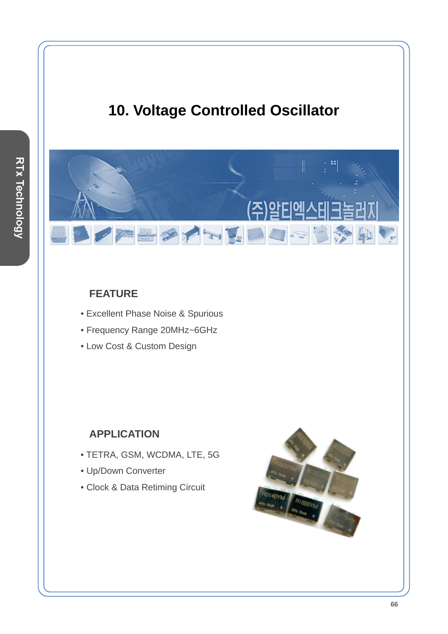# **10. Voltage Controlled Oscillator**

BOTH LOOP

### **FEATURE**

- Excellent Phase Noise & Spurious
- Frequency Range 20MHz~6GHz
- Low Cost & Custom Design

#### **APPLICATION**

- TETRA, GSM, WCDMA, LTE, 5G
- Up/Down Converter
- Clock & Data Retiming Circuit



零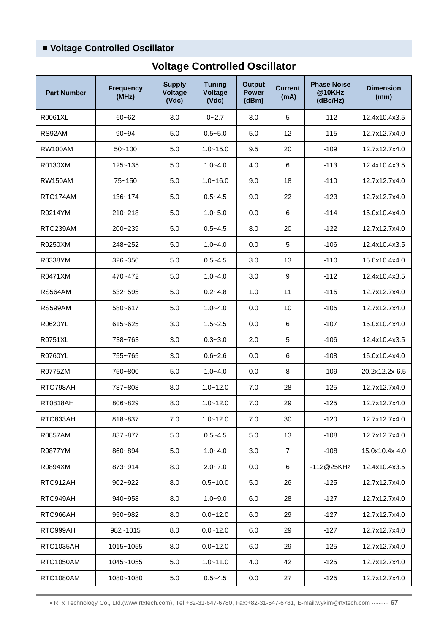## ■ **Voltage Controlled Oscillator**

| <b>Part Number</b> | <b>Frequency</b><br>(MHz) | <b>Supply</b><br><b>Voltage</b><br>(Vdc) | <b>Tuning</b><br>Voltage<br>(Vdc) | <b>Output</b><br><b>Power</b><br>(dBm) | <b>Current</b><br>(mA) | <b>Phase Noise</b><br>@10KHz<br>(dBc/Hz) | <b>Dimension</b><br>(mm) |
|--------------------|---------------------------|------------------------------------------|-----------------------------------|----------------------------------------|------------------------|------------------------------------------|--------------------------|
| R0061XL            | $60 - 62$                 | 3.0                                      | $0 - 2.7$                         | 3.0                                    | 5                      | $-112$                                   | 12.4x10.4x3.5            |
| RS92AM             | $90 - 94$                 | 5.0                                      | $0.5 - 5.0$                       | 5.0                                    | 12                     | $-115$                                   | 12.7x12.7x4.0            |
| <b>RW100AM</b>     | $50 - 100$                | 5.0                                      | $1.0 - 15.0$                      | 9.5                                    | 20                     | $-109$                                   | 12.7x12.7x4.0            |
| R0130XM            | 125~135                   | 5.0                                      | $1.0 - 4.0$                       | 4.0                                    | 6                      | $-113$                                   | 12.4x10.4x3.5            |
| <b>RW150AM</b>     | $75 - 150$                | 5.0                                      | $1.0 - 16.0$                      | 9.0                                    | 18                     | $-110$                                   | 12.7x12.7x4.0            |
| RTO174AM           | 136~174                   | 5.0                                      | $0.5 - 4.5$                       | 9.0                                    | 22                     | $-123$                                   | 12.7x12.7x4.0            |
| R0214YM            | 210~218                   | 5.0                                      | $1.0 - 5.0$                       | 0.0                                    | 6                      | $-114$                                   | 15.0x10.4x4.0            |
| RTO239AM           | 200~239                   | 5.0                                      | $0.5 - 4.5$                       | 8.0                                    | 20                     | $-122$                                   | 12.7x12.7x4.0            |
| R0250XM            | 248~252                   | 5.0                                      | $1.0 - 4.0$                       | 0.0                                    | 5                      | $-106$                                   | 12.4x10.4x3.5            |
| R0338YM            | 326~350                   | 5.0                                      | $0.5 - 4.5$                       | 3.0                                    | 13                     | $-110$                                   | 15.0x10.4x4.0            |
| R0471XM            | 470~472                   | 5.0                                      | $1.0 - 4.0$                       | 3.0                                    | 9                      | $-112$                                   | 12.4x10.4x3.5            |
| RS564AM            | 532~595                   | 5.0                                      | $0.2 - 4.8$                       | 1.0                                    | 11                     | $-115$                                   | 12.7x12.7x4.0            |
| <b>RS599AM</b>     | 580~617                   | 5.0                                      | $1.0 - 4.0$                       | 0.0                                    | 10                     | $-105$                                   | 12.7x12.7x4.0            |
| R0620YL            | 615~625                   | 3.0                                      | $1.5 - 2.5$                       | 0.0                                    | 6                      | $-107$                                   | 15.0x10.4x4.0            |
| R0751XL            | 738~763                   | 3.0                                      | $0.3 - 3.0$                       | 2.0                                    | 5                      | $-106$                                   | 12.4x10.4x3.5            |
| <b>R0760YL</b>     | 755~765                   | 3.0                                      | $0.6 - 2.6$                       | 0.0                                    | 6                      | $-108$                                   | 15.0x10.4x4.0            |
| R0775ZM            | 750~800                   | 5.0                                      | $1.0 - 4.0$                       | 0.0                                    | 8                      | $-109$                                   | 20.2x12.2x 6.5           |
| RTO798AH           | 787~808                   | 8.0                                      | $1.0 - 12.0$                      | 7.0                                    | 28                     | $-125$                                   | 12.7x12.7x4.0            |
| RT0818AH           | 806~829                   | 8.0                                      | $1.0 - 12.0$                      | 7.0                                    | 29                     | $-125$                                   | 12.7x12.7x4.0            |
| RTO833AH           | 818~837                   | 7.0                                      | $1.0 - 12.0$                      | 7.0                                    | 30                     | $-120$                                   | 12.7x12.7x4.0            |
| R0857AM            | 837~877                   | 5.0                                      | $0.5 - 4.5$                       | 5.0                                    | 13                     | $-108$                                   | 12.7x12.7x4.0            |
| R0877YM            | 860~894                   | 5.0                                      | $1.0 - 4.0$                       | 3.0                                    | 7                      | $-108$                                   | 15.0x10.4x 4.0           |
| R0894XM            | 873~914                   | 8.0                                      | $2.0 - 7.0$                       | 0.0                                    | 6                      | -112@25KHz                               | 12.4x10.4x3.5            |
| RTO912AH           | 902~922                   | 8.0                                      | $0.5 - 10.0$                      | 5.0                                    | 26                     | $-125$                                   | 12.7x12.7x4.0            |
| RTO949AH           | 940~958                   | 8.0                                      | $1.0 - 9.0$                       | 6.0                                    | 28                     | $-127$                                   | 12.7x12.7x4.0            |
| RTO966AH           | 950~982                   | 8.0                                      | $0.0 - 12.0$                      | 6.0                                    | 29                     | $-127$                                   | 12.7x12.7x4.0            |
| RTO999AH           | 982~1015                  | 8.0                                      | $0.0 - 12.0$                      | 6.0                                    | 29                     | $-127$                                   | 12.7x12.7x4.0            |
| <b>RTO1035AH</b>   | 1015~1055                 | 8.0                                      | $0.0 - 12.0$                      | 6.0                                    | 29                     | $-125$                                   | 12.7x12.7x4.0            |
| RTO1050AM          | 1045~1055                 | 5.0                                      | $1.0 - 11.0$                      | 4.0                                    | 42                     | $-125$                                   | 12.7x12.7x4.0            |
| RTO1080AM          | 1080~1080                 | 5.0                                      | $0.5 - 4.5$                       | 0.0                                    | 27                     | $-125$                                   | 12.7x12.7x4.0            |

# **Voltage Controlled Oscillator**

• RTx Technology Co., Ltd.(www.rtxtech.com), Tel:+82-31-647-6780, Fax:+82-31-647-6781, E-mail:wykim@rtxtech.com ·········· **67**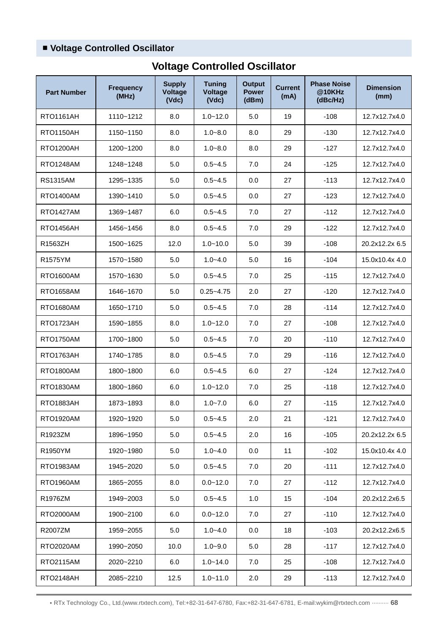## ■ **Voltage Controlled Oscillator**

| <b>Part Number</b> | <b>Frequency</b><br>(MHz) | <b>Supply</b><br>Voltage<br>(Vdc) | <b>Tuning</b><br><b>Voltage</b><br>(Vdc) | <b>Output</b><br><b>Power</b><br>(dBm) | <b>Current</b><br>(mA) | <b>Phase Noise</b><br>@10KHz<br>(dBc/Hz) | <b>Dimension</b><br>(mm) |
|--------------------|---------------------------|-----------------------------------|------------------------------------------|----------------------------------------|------------------------|------------------------------------------|--------------------------|
| <b>RTO1161AH</b>   | 1110~1212                 | 8.0                               | $1.0 - 12.0$                             | 5.0                                    | 19                     | $-108$                                   | 12.7x12.7x4.0            |
| <b>RTO1150AH</b>   | 1150~1150                 | 8.0                               | $1.0 - 8.0$                              | 8.0                                    | 29                     | $-130$                                   | 12.7x12.7x4.0            |
| <b>RTO1200AH</b>   | 1200~1200                 | 8.0                               | $1.0 - 8.0$                              | 8.0                                    | 29                     | $-127$                                   | 12.7x12.7x4.0            |
| RTO1248AM          | 1248~1248                 | 5.0                               | $0.5 - 4.5$                              | 7.0                                    | 24                     | $-125$                                   | 12.7x12.7x4.0            |
| <b>RS1315AM</b>    | 1295~1335                 | 5.0                               | $0.5 - 4.5$                              | 0.0                                    | 27                     | $-113$                                   | 12.7x12.7x4.0            |
| <b>RTO1400AM</b>   | 1390~1410                 | 5.0                               | $0.5 - 4.5$                              | 0.0                                    | 27                     | $-123$                                   | 12.7x12.7x4.0            |
| <b>RTO1427AM</b>   | 1369~1487                 | 6.0                               | $0.5 - 4.5$                              | 7.0                                    | 27                     | $-112$                                   | 12.7x12.7x4.0            |
| RTO1456AH          | 1456~1456                 | 8.0                               | $0.5 - 4.5$                              | 7.0                                    | 29                     | $-122$                                   | 12.7x12.7x4.0            |
| R1563ZH            | 1500~1625                 | 12.0                              | $1.0 - 10.0$                             | 5.0                                    | 39                     | $-108$                                   | 20.2x12.2x 6.5           |
| R1575YM            | 1570~1580                 | 5.0                               | $1.0 - 4.0$                              | 5.0                                    | 16                     | $-104$                                   | 15.0x10.4x 4.0           |
| <b>RTO1600AM</b>   | 1570~1630                 | 5.0                               | $0.5 - 4.5$                              | 7.0                                    | 25                     | $-115$                                   | 12.7x12.7x4.0            |
| <b>RTO1658AM</b>   | 1646~1670                 | 5.0                               | $0.25 - 4.75$                            | 2.0                                    | 27                     | $-120$                                   | 12.7x12.7x4.0            |
| <b>RTO1680AM</b>   | 1650~1710                 | 5.0                               | $0.5 - 4.5$                              | 7.0                                    | 28                     | $-114$                                   | 12.7x12.7x4.0            |
| RTO1723AH          | 1590~1855                 | 8.0                               | $1.0 - 12.0$                             | 7.0                                    | 27                     | $-108$                                   | 12.7x12.7x4.0            |
| <b>RTO1750AM</b>   | 1700~1800                 | 5.0                               | $0.5 - 4.5$                              | 7.0                                    | 20                     | $-110$                                   | 12.7x12.7x4.0            |
| RTO1763AH          | 1740~1785                 | 8.0                               | $0.5 - 4.5$                              | 7.0                                    | 29                     | $-116$                                   | 12.7x12.7x4.0            |
| RTO1800AM          | 1800~1800                 | 6.0                               | $0.5 - 4.5$                              | 6.0                                    | 27                     | $-124$                                   | 12.7x12.7x4.0            |
| RTO1830AM          | 1800~1860                 | 6.0                               | $1.0 - 12.0$                             | 7.0                                    | 25                     | $-118$                                   | 12.7x12.7x4.0            |
| <b>RTO1883AH</b>   | 1873~1893                 | 8.0                               | $1.0 - 7.0$                              | 6.0                                    | 27                     | $-115$                                   | 12.7x12.7x4.0            |
| RTO1920AM          | 1920~1920                 | 5.0                               | $0.5 - 4.5$                              | 2.0                                    | 21                     | $-121$                                   | 12.7x12.7x4.0            |
| R1923ZM            | 1896~1950                 | 5.0                               | $0.5 - 4.5$                              | 2.0                                    | 16                     | $-105$                                   | 20.2x12.2x 6.5           |
| R1950YM            | 1920~1980                 | 5.0                               | $1.0 - 4.0$                              | 0.0                                    | 11                     | $-102$                                   | 15.0x10.4x 4.0           |
| RTO1983AM          | 1945~2020                 | 5.0                               | $0.5 - 4.5$                              | 7.0                                    | 20                     | $-111$                                   | 12.7x12.7x4.0            |
| RTO1960AM          | 1865~2055                 | 8.0                               | $0.0 - 12.0$                             | 7.0                                    | 27                     | $-112$                                   | 12.7x12.7x4.0            |
| R1976ZM            | 1949~2003                 | 5.0                               | $0.5 - 4.5$                              | 1.0                                    | 15                     | $-104$                                   | 20.2x12.2x6.5            |
| <b>RTO2000AM</b>   | 1900~2100                 | 6.0                               | $0.0 - 12.0$                             | 7.0                                    | 27                     | $-110$                                   | 12.7x12.7x4.0            |
| R2007ZM            | 1959~2055                 | 5.0                               | $1.0 - 4.0$                              | 0.0                                    | 18                     | $-103$                                   | 20.2x12.2x6.5            |
| RTO2020AM          | 1990~2050                 | 10.0                              | $1.0 - 9.0$                              | 5.0                                    | 28                     | $-117$                                   | 12.7x12.7x4.0            |
| RTO2115AM          | 2020~2210                 | 6.0                               | $1.0 - 14.0$                             | 7.0                                    | 25                     | $-108$                                   | 12.7x12.7x4.0            |
| RTO2148AH          | 2085~2210                 | 12.5                              | $1.0 - 11.0$                             | 2.0                                    | 29                     | $-113$                                   | 12.7x12.7x4.0            |

# **Voltage Controlled Oscillator**

• RTx Technology Co., Ltd.(www.rtxtech.com), Tel:+82-31-647-6780, Fax:+82-31-647-6781, E-mail:wykim@rtxtech.com ·········· **68**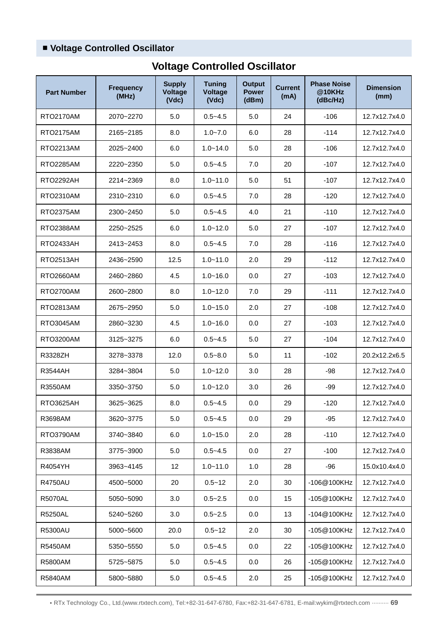## ■ **Voltage Controlled Oscillator**

| <b>Part Number</b> | <b>Frequency</b><br>(MHz) | <b>Supply</b><br><b>Voltage</b><br>(Vdc) | <b>Tuning</b><br><b>Voltage</b><br>(Vdc) | <b>Output</b><br><b>Power</b><br>(dBm) | <b>Current</b><br>(mA) | <b>Phase Noise</b><br>@10KHz<br>(dBc/Hz) | <b>Dimension</b><br>(mm) |
|--------------------|---------------------------|------------------------------------------|------------------------------------------|----------------------------------------|------------------------|------------------------------------------|--------------------------|
| <b>RTO2170AM</b>   | 2070~2270                 | 5.0                                      | $0.5 - 4.5$                              | 5.0                                    | 24                     | $-106$                                   | 12.7x12.7x4.0            |
| <b>RTO2175AM</b>   | 2165~2185                 | 8.0                                      | $1.0 - 7.0$                              | 6.0                                    | 28                     | $-114$                                   | 12.7x12.7x4.0            |
| RTO2213AM          | 2025~2400                 | 6.0                                      | $1.0 - 14.0$                             | 5.0                                    | 28                     | $-106$                                   | 12.7x12.7x4.0            |
| RTO2285AM          | 2220~2350                 | 5.0                                      | $0.5 - 4.5$                              | 7.0                                    | 20                     | -107                                     | 12.7x12.7x4.0            |
| RTO2292AH          | 2214~2369                 | 8.0                                      | $1.0 - 11.0$                             | 5.0                                    | 51                     | -107                                     | 12.7x12.7x4.0            |
| RTO2310AM          | 2310~2310                 | 6.0                                      | $0.5 - 4.5$                              | 7.0                                    | 28                     | $-120$                                   | 12.7x12.7x4.0            |
| <b>RTO2375AM</b>   | 2300~2450                 | 5.0                                      | $0.5 - 4.5$                              | 4.0                                    | 21                     | $-110$                                   | 12.7x12.7x4.0            |
| <b>RTO2388AM</b>   | 2250~2525                 | 6.0                                      | $1.0 - 12.0$                             | 5.0                                    | 27                     | $-107$                                   | 12.7x12.7x4.0            |
| <b>RTO2433AH</b>   | 2413~2453                 | 8.0                                      | $0.5 - 4.5$                              | 7.0                                    | 28                     | $-116$                                   | 12.7x12.7x4.0            |
| <b>RTO2513AH</b>   | 2436~2590                 | 12.5                                     | $1.0 - 11.0$                             | 2.0                                    | 29                     | $-112$                                   | 12.7x12.7x4.0            |
| RTO2660AM          | 2460~2860                 | 4.5                                      | $1.0 - 16.0$                             | 0.0                                    | 27                     | $-103$                                   | 12.7x12.7x4.0            |
| <b>RTO2700AM</b>   | 2600~2800                 | 8.0                                      | $1.0 - 12.0$                             | 7.0                                    | 29                     | $-111$                                   | 12.7x12.7x4.0            |
| RTO2813AM          | 2675~2950                 | 5.0                                      | $1.0 - 15.0$                             | 2.0                                    | 27                     | $-108$                                   | 12.7x12.7x4.0            |
| <b>RTO3045AM</b>   | 2860~3230                 | 4.5                                      | $1.0 - 16.0$                             | 0.0                                    | 27                     | $-103$                                   | 12.7x12.7x4.0            |
| RTO3200AM          | 3125~3275                 | 6.0                                      | $0.5 - 4.5$                              | 5.0                                    | 27                     | $-104$                                   | 12.7x12.7x4.0            |
| R3328ZH            | 3278~3378                 | 12.0                                     | $0.5 - 8.0$                              | 5.0                                    | 11                     | $-102$                                   | 20.2x12.2x6.5            |
| R3544AH            | 3284~3804                 | 5.0                                      | $1.0 - 12.0$                             | 3.0                                    | 28                     | $-98$                                    | 12.7x12.7x4.0            |
| <b>R3550AM</b>     | 3350~3750                 | 5.0                                      | $1.0 - 12.0$                             | 3.0                                    | 26                     | $-99$                                    | 12.7x12.7x4.0            |
| RTO3625AH          | 3625~3625                 | 8.0                                      | $0.5 - 4.5$                              | 0.0                                    | 29                     | $-120$                                   | 12.7x12.7x4.0            |
| R3698AM            | 3620~3775                 | 5.0                                      | $0.5 - 4.5$                              | 0.0                                    | 29                     | -95                                      | 12.7x12.7x4.0            |
| RTO3790AM          | 3740~3840                 | 6.0                                      | $1.0 - 15.0$                             | 2.0                                    | 28                     | $-110$                                   | 12.7x12.7x4.0            |
| R3838AM            | 3775~3900                 | 5.0                                      | $0.5 - 4.5$                              | 0.0                                    | 27                     | $-100$                                   | 12.7x12.7x4.0            |
| R4054YH            | 3963~4145                 | 12 <sup>2</sup>                          | $1.0 - 11.0$                             | 1.0                                    | 28                     | -96                                      | 15.0x10.4x4.0            |
| <b>R4750AU</b>     | 4500~5000                 | 20                                       | $0.5 - 12$                               | 2.0                                    | 30                     | -106@100KHz                              | 12.7x12.7x4.0            |
| <b>R5070AL</b>     | 5050~5090                 | 3.0                                      | $0.5 - 2.5$                              | 0.0                                    | 15                     | -105@100KHz                              | 12.7x12.7x4.0            |
| <b>R5250AL</b>     | 5240~5260                 | 3.0                                      | $0.5 - 2.5$                              | 0.0                                    | 13                     | -104@100KHz                              | 12.7x12.7x4.0            |
| <b>R5300AU</b>     | 5000~5600                 | 20.0                                     | $0.5 - 12$                               | 2.0                                    | 30                     | -105@100KHz                              | 12.7x12.7x4.0            |
| R5450AM            | 5350~5550                 | 5.0                                      | $0.5 - 4.5$                              | 0.0                                    | 22                     | -105@100KHz                              | 12.7x12.7x4.0            |
| R5800AM            | 5725~5875                 | 5.0                                      | $0.5 - 4.5$                              | 0.0                                    | 26                     | -105@100KHz                              | 12.7x12.7x4.0            |
| R5840AM            | 5800~5880                 | 5.0                                      | $0.5 - 4.5$                              | 2.0                                    | 25                     | -105@100KHz                              | 12.7x12.7x4.0            |

# **Voltage Controlled Oscillator**

• RTx Technology Co., Ltd.(www.rtxtech.com), Tel:+82-31-647-6780, Fax:+82-31-647-6781, E-mail:wykim@rtxtech.com ·········· **69**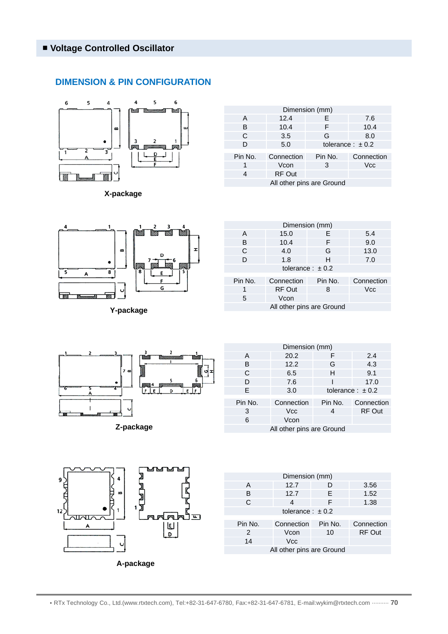#### **DIMENSION & PIN CONFIGURATION**



**X-package**

| Dimension (mm)            |               |                      |            |  |  |  |
|---------------------------|---------------|----------------------|------------|--|--|--|
| A                         | 12.4          | E                    | 7.6        |  |  |  |
| B                         | 10.4          | F                    | 10.4       |  |  |  |
| C                         | 3.5           | G                    | 8.0        |  |  |  |
| D                         | 5.0           | tolerance: $\pm$ 0.2 |            |  |  |  |
|                           |               |                      |            |  |  |  |
| Pin No.                   | Connection    | Pin No.              | Connection |  |  |  |
|                           | Vcon          | 3                    | Vcc        |  |  |  |
|                           | <b>RF Out</b> |                      |            |  |  |  |
| All other pins are Ground |               |                      |            |  |  |  |



**Y-package**

| Dimension (mm)       |            |         |            |  |  |  |  |
|----------------------|------------|---------|------------|--|--|--|--|
| A                    | 15.0       | Е       | 5.4        |  |  |  |  |
| в                    | 10.4       | F       | 9.0        |  |  |  |  |
| C                    | 4.0        | G       | 13.0       |  |  |  |  |
| D                    | 1.8        | н       | 7.0        |  |  |  |  |
| tolerance: $\pm$ 0.2 |            |         |            |  |  |  |  |
| Pin No.              | Connection | Pin No. | Connection |  |  |  |  |
| 1                    | RF Out     | 8       | <b>Vcc</b> |  |  |  |  |
| 5                    | Vcon       |         |            |  |  |  |  |
|                      |            |         |            |  |  |  |  |

All other pins are Ground



**Z-package**

| Dimension (mm)            |            |                      |               |  |  |  |  |
|---------------------------|------------|----------------------|---------------|--|--|--|--|
| A                         | 20.2       | F                    | 2.4           |  |  |  |  |
| B                         | 12.2       | G                    | 4.3           |  |  |  |  |
| C                         | 6.5        | н                    | 9.1           |  |  |  |  |
| D                         | 7.6        |                      | 17.0          |  |  |  |  |
| F.                        | 3.0        | tolerance: $\pm$ 0.2 |               |  |  |  |  |
| Pin No.                   | Connection | Pin No.              | Connection    |  |  |  |  |
| 3                         | <b>Vcc</b> | 4                    | <b>RF Out</b> |  |  |  |  |
| 6                         | Vcon       |                      |               |  |  |  |  |
| All other pins are Ground |            |                      |               |  |  |  |  |



| Dimension (mm)            |            |         |               |  |  |  |  |  |
|---------------------------|------------|---------|---------------|--|--|--|--|--|
| A                         | 12.7       | D       | 3.56          |  |  |  |  |  |
| B                         | 12.7       | E       | 1.52          |  |  |  |  |  |
| C                         | 4          | F       | 1.38          |  |  |  |  |  |
| tolerance: $\pm$ 0.2      |            |         |               |  |  |  |  |  |
|                           |            |         |               |  |  |  |  |  |
| Pin No.                   | Connection | Pin No. | Connection    |  |  |  |  |  |
| 2                         | Vcon       | 10      | <b>RF Out</b> |  |  |  |  |  |
| 14                        | <b>Vcc</b> |         |               |  |  |  |  |  |
| All other pins are Ground |            |         |               |  |  |  |  |  |
|                           |            |         |               |  |  |  |  |  |